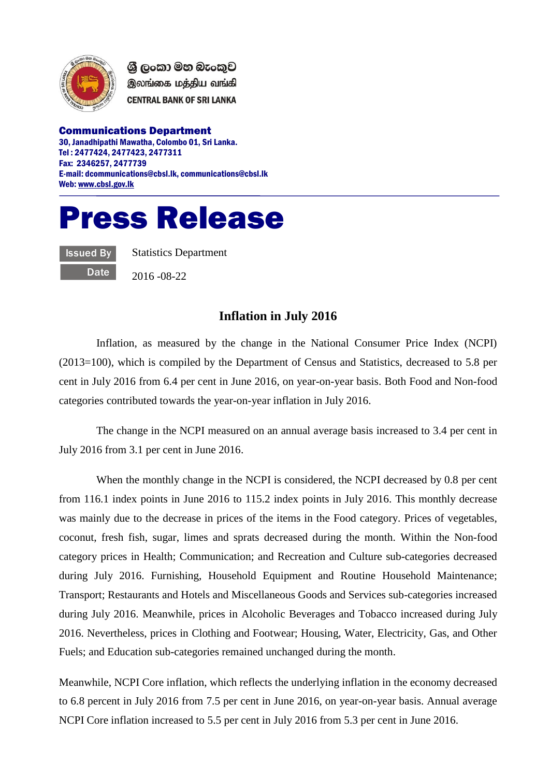

ශී ලංකා මහ බැංකුව இலங்கை மத்திய வங்கி **CENTRAL BANK OF SRI LANKA** 

Communications Department 30, Janadhipathi Mawatha, Colombo 01, Sri Lanka. Tel : 2477424, 2477423, 2477311 Fax: 2346257, 2477739 E-mail: dcommunications@cbsl.lk, communications@cbsl.lk Web[: www.cbsl.gov.lk](http://www.cbsl.gov.lk/)

## Press Release

Issued By **Date**  Statistics Department

2016 -08-22

## **Inflation in July 2016**

Inflation, as measured by the change in the National Consumer Price Index (NCPI) (2013=100), which is compiled by the Department of Census and Statistics, decreased to 5.8 per cent in July 2016 from 6.4 per cent in June 2016, on year-on-year basis. Both Food and Non-food categories contributed towards the year-on-year inflation in July 2016.

The change in the NCPI measured on an annual average basis increased to 3.4 per cent in July 2016 from 3.1 per cent in June 2016.

When the monthly change in the NCPI is considered, the NCPI decreased by 0.8 per cent from 116.1 index points in June 2016 to 115.2 index points in July 2016. This monthly decrease was mainly due to the decrease in prices of the items in the Food category. Prices of vegetables, coconut, fresh fish, sugar, limes and sprats decreased during the month. Within the Non-food category prices in Health; Communication; and Recreation and Culture sub-categories decreased during July 2016. Furnishing, Household Equipment and Routine Household Maintenance; Transport; Restaurants and Hotels and Miscellaneous Goods and Services sub-categories increased during July 2016. Meanwhile, prices in Alcoholic Beverages and Tobacco increased during July 2016. Nevertheless, prices in Clothing and Footwear; Housing, Water, Electricity, Gas, and Other Fuels; and Education sub-categories remained unchanged during the month.

Meanwhile, NCPI Core inflation, which reflects the underlying inflation in the economy decreased to 6.8 percent in July 2016 from 7.5 per cent in June 2016, on year-on-year basis. Annual average NCPI Core inflation increased to 5.5 per cent in July 2016 from 5.3 per cent in June 2016.